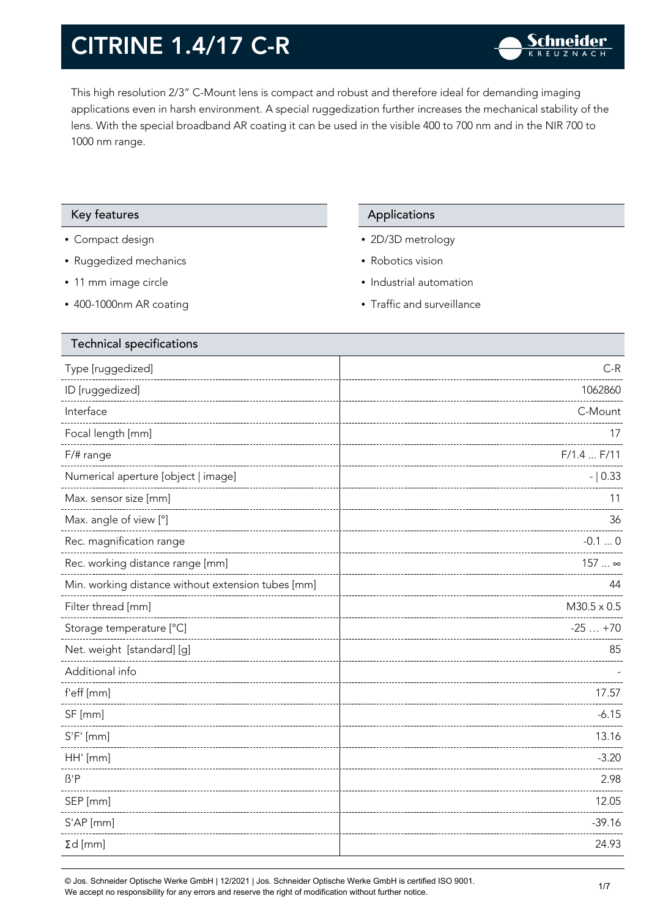This high resolution 2/3" C-Mount lens is compact and robust and therefore ideal for demanding imaging applications even in harsh environment. A special ruggedization further increases the mechanical stability of the lens. With the special broadband AR coating it can be used in the visible 400 to 700 nm and in the NIR 700 to 1000 nm range.

#### Key features **Applications** Applications

- Compact design
- Ruggedized mechanics
- 11 mm image circle
- 400-1000nm AR coating

- 2D/3D metrology
- Robotics vision
- Industrial automation
- Traffic and surveillance

| <b>Technical specifications</b>                    |                    |
|----------------------------------------------------|--------------------|
| Type [ruggedized]                                  | $C-R$              |
| ID [ruggedized]                                    | 1062860            |
| Interface                                          | C-Mount            |
| Focal length [mm]                                  | 17                 |
| F/# range                                          | F/1.4 F/11         |
| Numerical aperture [object   image]                | $- 0.33$           |
| Max. sensor size [mm]                              | 11                 |
| Max. angle of view [°]                             | 36                 |
| Rec. magnification range                           | $-0.10$            |
| Rec. working distance range [mm]                   | 157  ∞             |
| Min. working distance without extension tubes [mm] | 44                 |
| Filter thread [mm]                                 | $M30.5 \times 0.5$ |
| Storage temperature [°C]                           | $-25+70$           |
| Net. weight [standard] [g]                         | 85                 |
| Additional info                                    |                    |
| f'eff [mm]                                         | 17.57              |
| SF [mm]                                            | $-6.15$            |
| $S'F'$ [mm]                                        | 13.16              |
| HH' [mm]                                           | $-3.20$            |
| $\beta'$ P                                         | 2.98               |
| SEP [mm]                                           | 12.05              |
| S'AP [mm]                                          | $-39.16$           |
| $\Sigma d$ [mm]                                    | 24.93              |
|                                                    |                    |

© Jos. Schneider Optische Werke GmbH | 12/2021 | Jos. Schneider Optische Werke GmbH is certified ISO 9001. We accept no responsibility for any errors and reserve the right of modification without further notice.<br>We accept no responsibility for any errors and reserve the right of modification without further notice.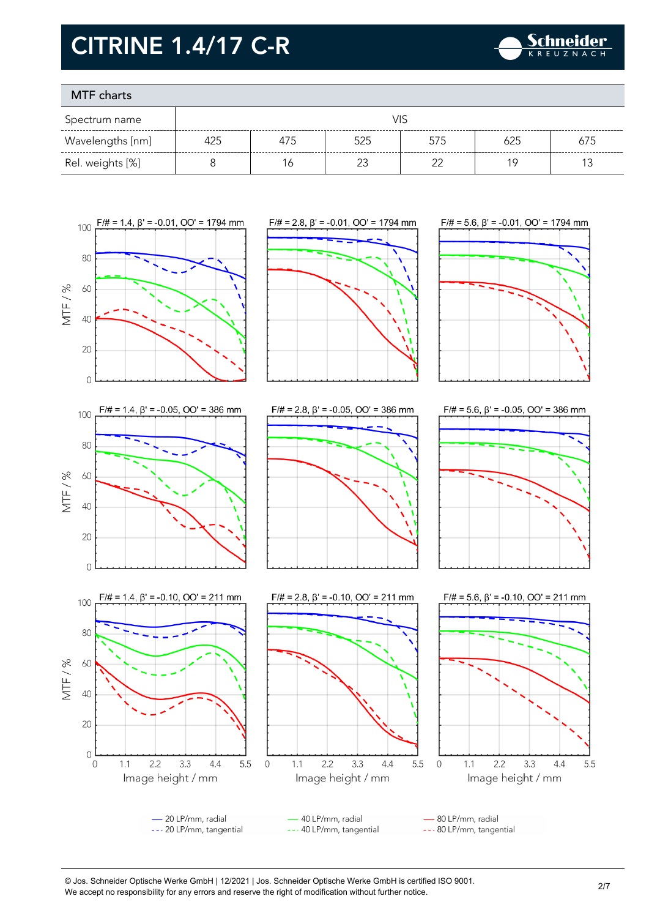

### MTF charts

| Spectrum name    |     |     |     |     |     |     |
|------------------|-----|-----|-----|-----|-----|-----|
| Wavelengths [nm] | 425 | 475 | 525 | 575 | 625 | 675 |
| Rel. weights [%] |     |     |     | ົ   |     |     |



© Jos. Schneider Optische Werke GmbH | 12/2021 | Jos. Schneider Optische Werke GmbH is certified ISO 9001. We accept no responsibility for any errors and reserve the right of modification without further notice.<br>We accept no responsibility for any errors and reserve the right of modification without further notice.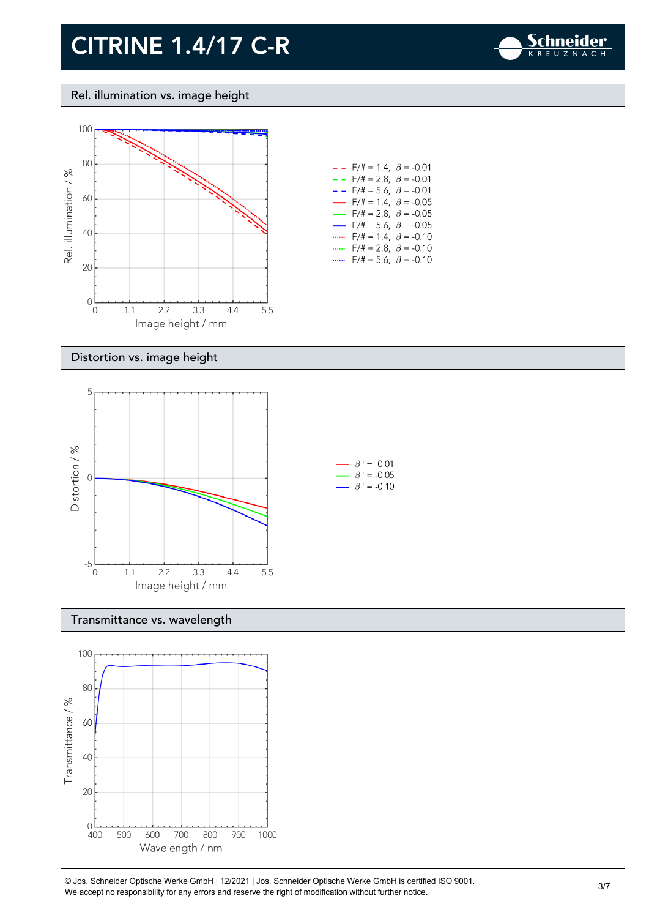

Rel. illumination vs. image height



| $-$ - F/# = 1.4, $\beta$ = -0.01         |
|------------------------------------------|
| $- -$ F/# = 2.8, $\beta$ = -0.01         |
| $- -$ F/# = 5.6, $\beta$ = -0.01         |
| $\rightarrow$ F/# = 1.4, $\beta$ = -0.05 |
| $\rightarrow$ F/# = 2.8, $\beta$ = -0.05 |
| $\rightarrow$ F/# = 5.6, $\beta$ = -0.05 |
| $F/\ddot{t} = 1.4$ , $\beta = -0.10$     |
| F/# = 2.8, $\beta$ = -0.10               |
| $F/\ddot{=} = 5.6$ , $\beta = -0.10$     |

#### Distortion vs. image height



#### Transmittance vs. wavelength



© Jos. Schneider Optische Werke GmbH | 12/2021 | Jos. Schneider Optische Werke GmbH is certified ISO 9001. We accept no responsibility for any errors and reserve the right of modification without further notice.<br>We accept no responsibility for any errors and reserve the right of modification without further notice.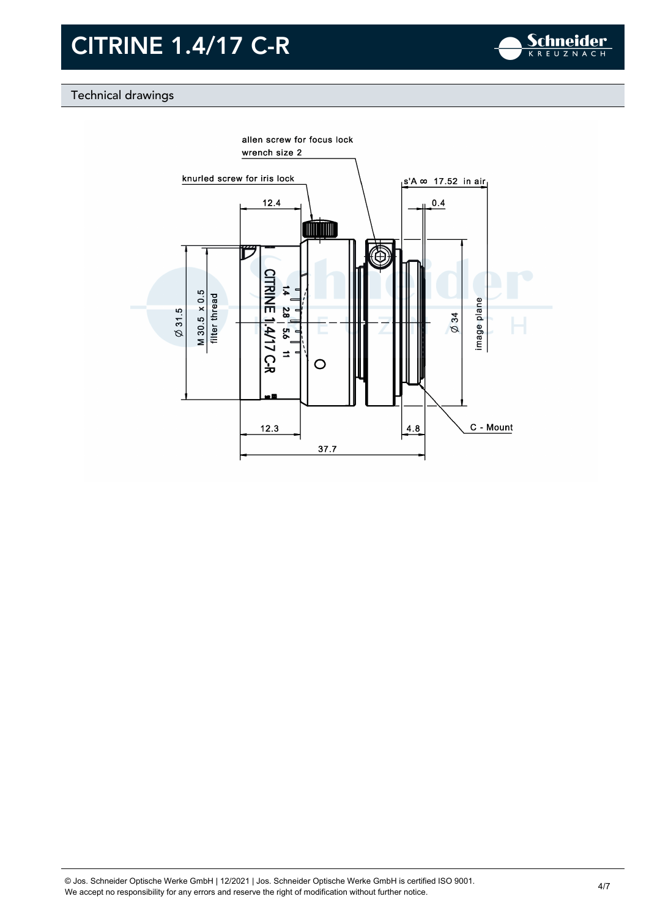

### Technical drawings

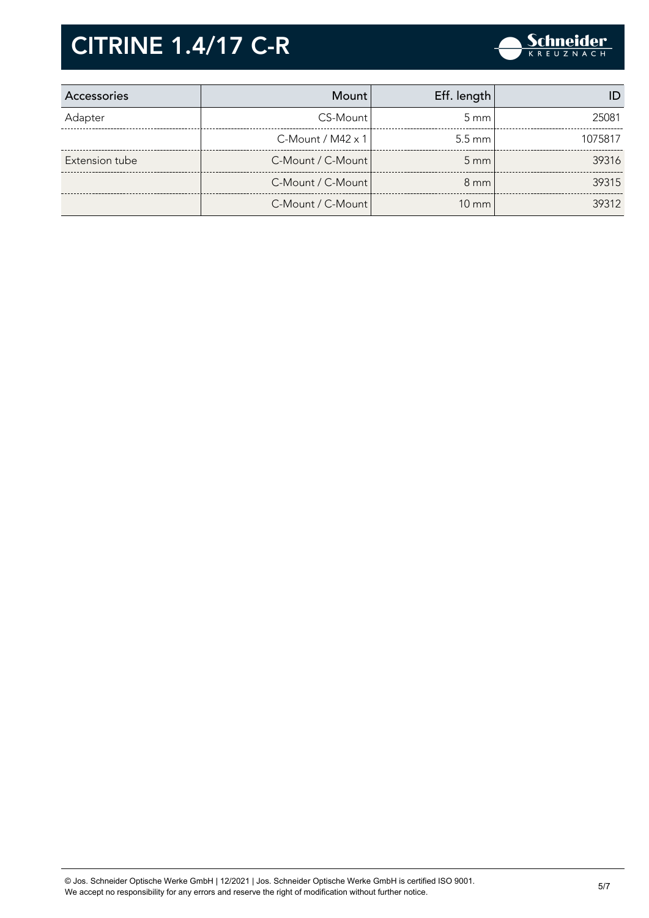

| Accessories    | <b>Mount</b>         | Eff. length      |         |
|----------------|----------------------|------------------|---------|
| Adapter        | CS-Mount             | $5 \text{ mm}$   | 25081   |
|                | $C$ -Mount / M42 x 1 | $5.5 \text{ mm}$ | 1075817 |
| Extension tube | C-Mount / C-Mount    | $5 \text{ mm}$   | 39316   |
|                | C-Mount / C-Mount    | $8 \text{ mm}$   | 39315   |
|                | C-Mount / C-Mount    | $10 \text{ mm}$  | 39312   |